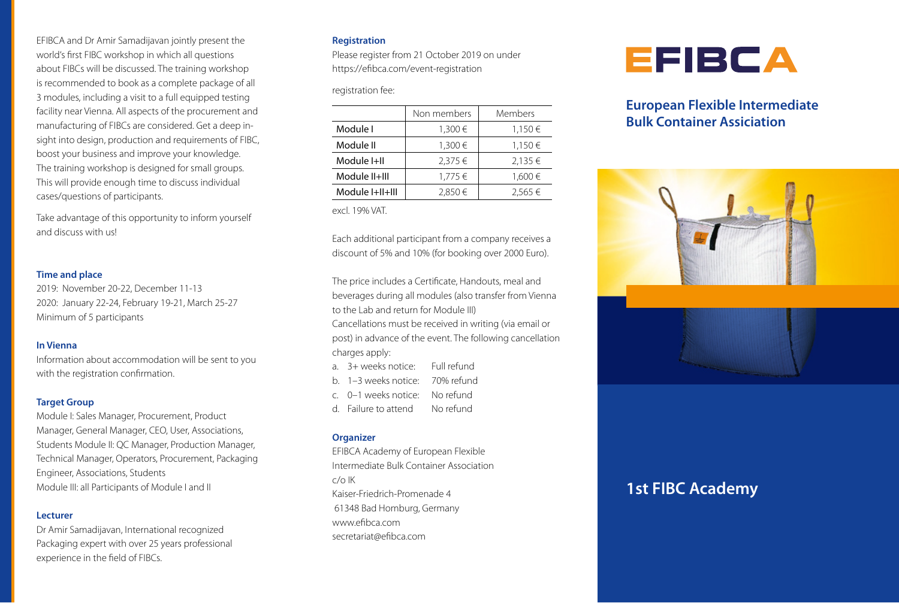EFIBCA and Dr Amir Samadijavan jointly present the world's first FIBC workshop in which all questions about FIBCs will be discussed. The training workshop is recommended to book as a complete package of all 3 modules, including a visit to a full equipped testing facility near Vienna. All aspects of the procurement and manufacturing of FIBCs are considered. Get a deep insight into design, production and requirements of FIBC, boost your business and improve your knowledge. The training workshop is designed for small groups. This will provide enough time to discuss individual cases/questions of participants.

Take advantage of this opportunity to inform yourself and discuss with us!

#### **Time and place**

2019: November 20-22, December 11-13 2020: January 22-24, February 19-21, March 25-27 Minimum of 5 participants

#### **In Vienna**

Information about accommodation will be sent to you with the registration confirmation.

#### **Target Group**

Module I: Sales Manager, Procurement, Product Manager, General Manager, CEO, User, Associations, Students Module II: QC Manager, Production Manager, Technical Manager, Operators, Procurement, Packaging Engineer, Associations, Students Module III: all Participants of Module I and II

#### **Lecturer**

Dr Amir Samadijavan, International recognized Packaging expert with over 25 years professional experience in the field of FIBCs.

#### **Registration**

Please register from 21 October 2019 on under https://efibca.com/event-registration

registration fee:

|                 | Non members | Members     |
|-----------------|-------------|-------------|
| Module I        | $1,300 \in$ | $1,150 \in$ |
| Module II       | 1,300€      | $1,150 \in$ |
| Module I+II     | $2,375 \in$ | $2,135 \in$ |
| Module II+III   | $1,775 \in$ | 1,600€      |
| Module I+II+III | 2,850€      | $2,565 \in$ |

excl. 19% VAT.

Each additional participant from a company receives a discount of 5% and 10% (for booking over 2000 Euro).

The price includes a Certificate, Handouts, meal and beverages during all modules (also transfer from Vienna to the Lab and return for Module III) Cancellations must be received in writing (via email or post) in advance of the event. The following cancellation charges apply:

| a. 3+ weeks notice:      | Full refund |
|--------------------------|-------------|
| b. – 1–3 weeks notice: – | 70% refund  |

- c. 0–1 weeks notice: No refund
- d. Failure to attend No refund

#### **Organizer**

EFIBCA Academy of European Flexible Intermediate Bulk Container Association  $c/\alpha$  IK Kaiser-Friedrich-Promenade 4 61348 Bad Homburg, Germany www.efibca.com secretariat@efibca.com



## **European Flexible Intermediate Bulk Container Assiciation**



# **1st FIBC Academy**